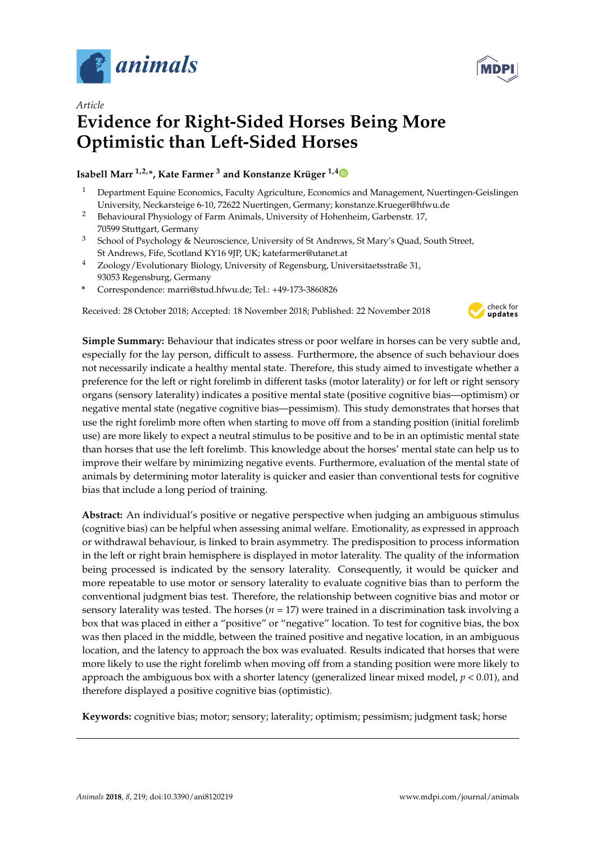



# *Article* **Evidence for Right-Sided Horses Being More Optimistic than Left-Sided Horses**

# **Isabell Marr 1,2,\*, Kate Farmer <sup>3</sup> and Konstanze Krüger 1,[4](https://orcid.org/0000-0002-9120-680X)**

- <sup>1</sup> Department Equine Economics, Faculty Agriculture, Economics and Management, Nuertingen-Geislingen University, Neckarsteige 6-10, 72622 Nuertingen, Germany; konstanze.Krueger@hfwu.de
- <sup>2</sup> Behavioural Physiology of Farm Animals, University of Hohenheim, Garbenstr. 17, 70599 Stuttgart, Germany
- <sup>3</sup> School of Psychology & Neuroscience, University of St Andrews, St Mary's Quad, South Street, St Andrews, Fife, Scotland KY16 9JP, UK; katefarmer@utanet.at
- <sup>4</sup> Zoology/Evolutionary Biology, University of Regensburg, Universitaetsstraße 31, 93053 Regensburg, Germany
- **\*** Correspondence: marri@stud.hfwu.de; Tel.: +49-173-3860826

Received: 28 October 2018; Accepted: 18 November 2018; Published: 22 November 2018



**Simple Summary:** Behaviour that indicates stress or poor welfare in horses can be very subtle and, especially for the lay person, difficult to assess. Furthermore, the absence of such behaviour does not necessarily indicate a healthy mental state. Therefore, this study aimed to investigate whether a preference for the left or right forelimb in different tasks (motor laterality) or for left or right sensory organs (sensory laterality) indicates a positive mental state (positive cognitive bias—optimism) or negative mental state (negative cognitive bias—pessimism). This study demonstrates that horses that use the right forelimb more often when starting to move off from a standing position (initial forelimb use) are more likely to expect a neutral stimulus to be positive and to be in an optimistic mental state than horses that use the left forelimb. This knowledge about the horses' mental state can help us to improve their welfare by minimizing negative events. Furthermore, evaluation of the mental state of animals by determining motor laterality is quicker and easier than conventional tests for cognitive bias that include a long period of training.

**Abstract:** An individual's positive or negative perspective when judging an ambiguous stimulus (cognitive bias) can be helpful when assessing animal welfare. Emotionality, as expressed in approach or withdrawal behaviour, is linked to brain asymmetry. The predisposition to process information in the left or right brain hemisphere is displayed in motor laterality. The quality of the information being processed is indicated by the sensory laterality. Consequently, it would be quicker and more repeatable to use motor or sensory laterality to evaluate cognitive bias than to perform the conventional judgment bias test. Therefore, the relationship between cognitive bias and motor or sensory laterality was tested. The horses  $(n = 17)$  were trained in a discrimination task involving a box that was placed in either a "positive" or "negative" location. To test for cognitive bias, the box was then placed in the middle, between the trained positive and negative location, in an ambiguous location, and the latency to approach the box was evaluated. Results indicated that horses that were more likely to use the right forelimb when moving off from a standing position were more likely to approach the ambiguous box with a shorter latency (generalized linear mixed model, *p* < 0.01), and therefore displayed a positive cognitive bias (optimistic).

**Keywords:** cognitive bias; motor; sensory; laterality; optimism; pessimism; judgment task; horse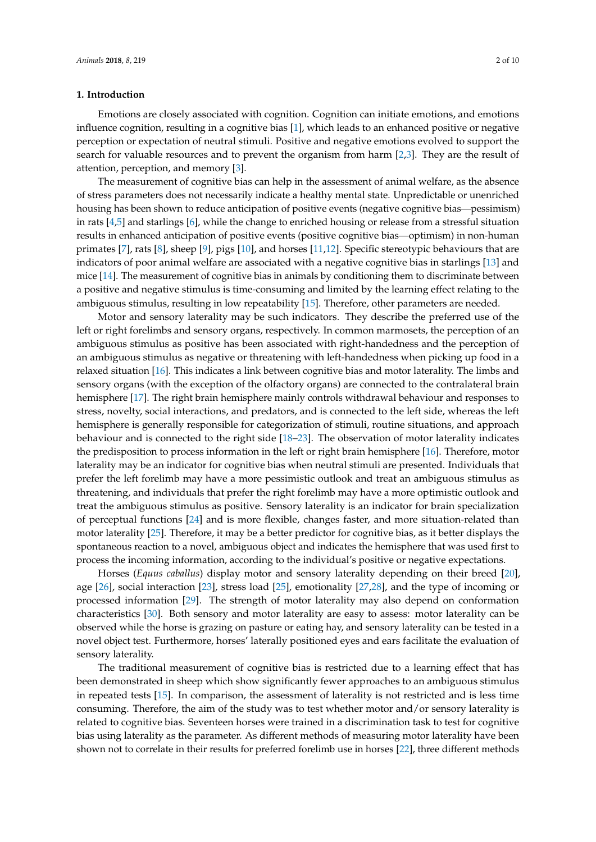# **1. Introduction**

Emotions are closely associated with cognition. Cognition can initiate emotions, and emotions influence cognition, resulting in a cognitive bias [\[1\]](#page-8-0), which leads to an enhanced positive or negative perception or expectation of neutral stimuli. Positive and negative emotions evolved to support the search for valuable resources and to prevent the organism from harm [\[2](#page-8-1)[,3\]](#page-8-2). They are the result of attention, perception, and memory [\[3\]](#page-8-2).

The measurement of cognitive bias can help in the assessment of animal welfare, as the absence of stress parameters does not necessarily indicate a healthy mental state. Unpredictable or unenriched housing has been shown to reduce anticipation of positive events (negative cognitive bias—pessimism) in rats [\[4](#page-8-3)[,5\]](#page-8-4) and starlings [\[6\]](#page-8-5), while the change to enriched housing or release from a stressful situation results in enhanced anticipation of positive events (positive cognitive bias—optimism) in non-human primates [\[7\]](#page-8-6), rats [\[8\]](#page-8-7), sheep [\[9\]](#page-8-8), pigs [\[10\]](#page-8-9), and horses [\[11,](#page-8-10)[12\]](#page-8-11). Specific stereotypic behaviours that are indicators of poor animal welfare are associated with a negative cognitive bias in starlings [\[13\]](#page-8-12) and mice [\[14\]](#page-8-13). The measurement of cognitive bias in animals by conditioning them to discriminate between a positive and negative stimulus is time-consuming and limited by the learning effect relating to the ambiguous stimulus, resulting in low repeatability [\[15\]](#page-9-0). Therefore, other parameters are needed.

Motor and sensory laterality may be such indicators. They describe the preferred use of the left or right forelimbs and sensory organs, respectively. In common marmosets, the perception of an ambiguous stimulus as positive has been associated with right-handedness and the perception of an ambiguous stimulus as negative or threatening with left-handedness when picking up food in a relaxed situation [\[16\]](#page-9-1). This indicates a link between cognitive bias and motor laterality. The limbs and sensory organs (with the exception of the olfactory organs) are connected to the contralateral brain hemisphere [\[17\]](#page-9-2). The right brain hemisphere mainly controls withdrawal behaviour and responses to stress, novelty, social interactions, and predators, and is connected to the left side, whereas the left hemisphere is generally responsible for categorization of stimuli, routine situations, and approach behaviour and is connected to the right side [\[18](#page-9-3)[–23\]](#page-9-4). The observation of motor laterality indicates the predisposition to process information in the left or right brain hemisphere [\[16\]](#page-9-1). Therefore, motor laterality may be an indicator for cognitive bias when neutral stimuli are presented. Individuals that prefer the left forelimb may have a more pessimistic outlook and treat an ambiguous stimulus as threatening, and individuals that prefer the right forelimb may have a more optimistic outlook and treat the ambiguous stimulus as positive. Sensory laterality is an indicator for brain specialization of perceptual functions [\[24\]](#page-9-5) and is more flexible, changes faster, and more situation-related than motor laterality [\[25\]](#page-9-6). Therefore, it may be a better predictor for cognitive bias, as it better displays the spontaneous reaction to a novel, ambiguous object and indicates the hemisphere that was used first to process the incoming information, according to the individual's positive or negative expectations.

Horses (*Equus caballus*) display motor and sensory laterality depending on their breed [\[20\]](#page-9-7), age [\[26\]](#page-9-8), social interaction [\[23\]](#page-9-4), stress load [\[25\]](#page-9-6), emotionality [\[27,](#page-9-9)[28\]](#page-9-10), and the type of incoming or processed information [\[29\]](#page-9-11). The strength of motor laterality may also depend on conformation characteristics [\[30\]](#page-9-12). Both sensory and motor laterality are easy to assess: motor laterality can be observed while the horse is grazing on pasture or eating hay, and sensory laterality can be tested in a novel object test. Furthermore, horses' laterally positioned eyes and ears facilitate the evaluation of sensory laterality.

The traditional measurement of cognitive bias is restricted due to a learning effect that has been demonstrated in sheep which show significantly fewer approaches to an ambiguous stimulus in repeated tests [\[15\]](#page-9-0). In comparison, the assessment of laterality is not restricted and is less time consuming. Therefore, the aim of the study was to test whether motor and/or sensory laterality is related to cognitive bias. Seventeen horses were trained in a discrimination task to test for cognitive bias using laterality as the parameter. As different methods of measuring motor laterality have been shown not to correlate in their results for preferred forelimb use in horses [\[22\]](#page-9-13), three different methods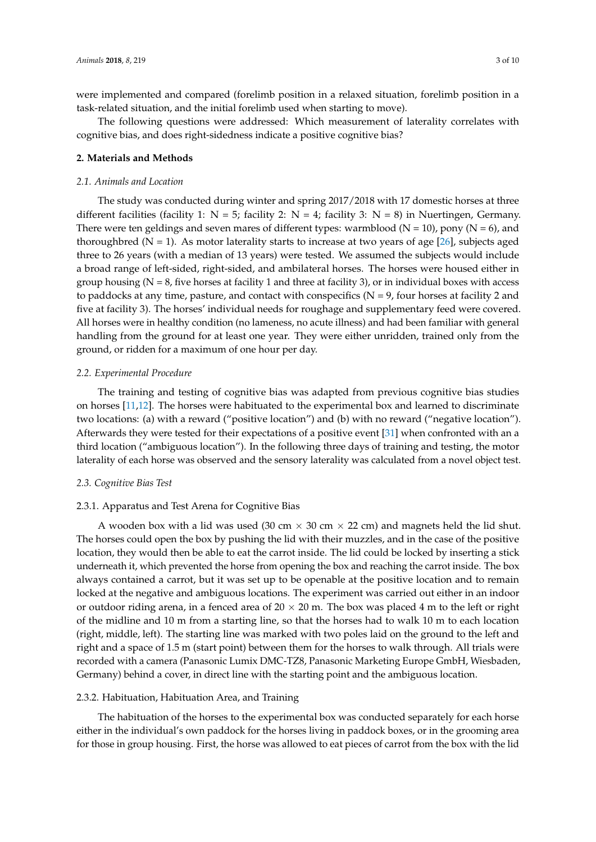were implemented and compared (forelimb position in a relaxed situation, forelimb position in a task-related situation, and the initial forelimb used when starting to move).

The following questions were addressed: Which measurement of laterality correlates with cognitive bias, and does right-sidedness indicate a positive cognitive bias?

### **2. Materials and Methods**

#### *2.1. Animals and Location*

The study was conducted during winter and spring 2017/2018 with 17 domestic horses at three different facilities (facility 1:  $N = 5$ ; facility 2:  $N = 4$ ; facility 3:  $N = 8$ ) in Nuertingen, Germany. There were ten geldings and seven mares of different types: warmblood ( $N = 10$ ), pony ( $N = 6$ ), and thoroughbred ( $N = 1$ ). As motor laterality starts to increase at two years of age [ $26$ ], subjects aged three to 26 years (with a median of 13 years) were tested. We assumed the subjects would include a broad range of left-sided, right-sided, and ambilateral horses. The horses were housed either in group housing ( $N = 8$ , five horses at facility 1 and three at facility 3), or in individual boxes with access to paddocks at any time, pasture, and contact with conspecifics  $(N = 9)$ , four horses at facility 2 and five at facility 3). The horses' individual needs for roughage and supplementary feed were covered. All horses were in healthy condition (no lameness, no acute illness) and had been familiar with general handling from the ground for at least one year. They were either unridden, trained only from the ground, or ridden for a maximum of one hour per day.

#### *2.2. Experimental Procedure*

The training and testing of cognitive bias was adapted from previous cognitive bias studies on horses [\[11,](#page-8-10)[12\]](#page-8-11). The horses were habituated to the experimental box and learned to discriminate two locations: (a) with a reward ("positive location") and (b) with no reward ("negative location"). Afterwards they were tested for their expectations of a positive event [\[31\]](#page-9-14) when confronted with an a third location ("ambiguous location"). In the following three days of training and testing, the motor laterality of each horse was observed and the sensory laterality was calculated from a novel object test.

#### *2.3. Cognitive Bias Test*

### 2.3.1. Apparatus and Test Arena for Cognitive Bias

A wooden box with a lid was used (30 cm  $\times$  30 cm  $\times$  22 cm) and magnets held the lid shut. The horses could open the box by pushing the lid with their muzzles, and in the case of the positive location, they would then be able to eat the carrot inside. The lid could be locked by inserting a stick underneath it, which prevented the horse from opening the box and reaching the carrot inside. The box always contained a carrot, but it was set up to be openable at the positive location and to remain locked at the negative and ambiguous locations. The experiment was carried out either in an indoor or outdoor riding arena, in a fenced area of  $20 \times 20$  m. The box was placed 4 m to the left or right of the midline and 10 m from a starting line, so that the horses had to walk 10 m to each location (right, middle, left). The starting line was marked with two poles laid on the ground to the left and right and a space of 1.5 m (start point) between them for the horses to walk through. All trials were recorded with a camera (Panasonic Lumix DMC-TZ8, Panasonic Marketing Europe GmbH, Wiesbaden, Germany) behind a cover, in direct line with the starting point and the ambiguous location.

#### 2.3.2. Habituation, Habituation Area, and Training

The habituation of the horses to the experimental box was conducted separately for each horse either in the individual's own paddock for the horses living in paddock boxes, or in the grooming area for those in group housing. First, the horse was allowed to eat pieces of carrot from the box with the lid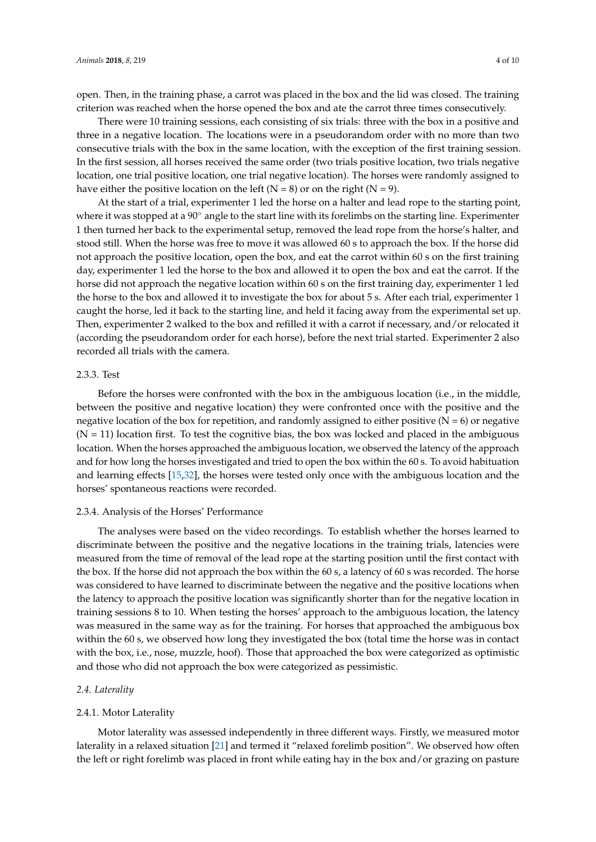open. Then, in the training phase, a carrot was placed in the box and the lid was closed. The training criterion was reached when the horse opened the box and ate the carrot three times consecutively.

There were 10 training sessions, each consisting of six trials: three with the box in a positive and three in a negative location. The locations were in a pseudorandom order with no more than two consecutive trials with the box in the same location, with the exception of the first training session. In the first session, all horses received the same order (two trials positive location, two trials negative location, one trial positive location, one trial negative location). The horses were randomly assigned to have either the positive location on the left ( $N = 8$ ) or on the right ( $N = 9$ ).

At the start of a trial, experimenter 1 led the horse on a halter and lead rope to the starting point, where it was stopped at a 90° angle to the start line with its forelimbs on the starting line. Experimenter 1 then turned her back to the experimental setup, removed the lead rope from the horse's halter, and stood still. When the horse was free to move it was allowed 60 s to approach the box. If the horse did not approach the positive location, open the box, and eat the carrot within 60 s on the first training day, experimenter 1 led the horse to the box and allowed it to open the box and eat the carrot. If the horse did not approach the negative location within 60 s on the first training day, experimenter 1 led the horse to the box and allowed it to investigate the box for about 5 s. After each trial, experimenter 1 caught the horse, led it back to the starting line, and held it facing away from the experimental set up. Then, experimenter 2 walked to the box and refilled it with a carrot if necessary, and/or relocated it (according the pseudorandom order for each horse), before the next trial started. Experimenter 2 also recorded all trials with the camera.

# 2.3.3. Test

Before the horses were confronted with the box in the ambiguous location (i.e., in the middle, between the positive and negative location) they were confronted once with the positive and the negative location of the box for repetition, and randomly assigned to either positive  $(N = 6)$  or negative  $(N = 11)$  location first. To test the cognitive bias, the box was locked and placed in the ambiguous location. When the horses approached the ambiguous location, we observed the latency of the approach and for how long the horses investigated and tried to open the box within the 60 s. To avoid habituation and learning effects [\[15](#page-9-0)[,32\]](#page-9-15), the horses were tested only once with the ambiguous location and the horses' spontaneous reactions were recorded.

# 2.3.4. Analysis of the Horses' Performance

The analyses were based on the video recordings. To establish whether the horses learned to discriminate between the positive and the negative locations in the training trials, latencies were measured from the time of removal of the lead rope at the starting position until the first contact with the box. If the horse did not approach the box within the 60 s, a latency of 60 s was recorded. The horse was considered to have learned to discriminate between the negative and the positive locations when the latency to approach the positive location was significantly shorter than for the negative location in training sessions 8 to 10. When testing the horses' approach to the ambiguous location, the latency was measured in the same way as for the training. For horses that approached the ambiguous box within the 60 s, we observed how long they investigated the box (total time the horse was in contact with the box, i.e., nose, muzzle, hoof). Those that approached the box were categorized as optimistic and those who did not approach the box were categorized as pessimistic.

#### *2.4. Laterality*

#### <span id="page-3-0"></span>2.4.1. Motor Laterality

Motor laterality was assessed independently in three different ways. Firstly, we measured motor laterality in a relaxed situation [\[21\]](#page-9-16) and termed it "relaxed forelimb position". We observed how often the left or right forelimb was placed in front while eating hay in the box and/or grazing on pasture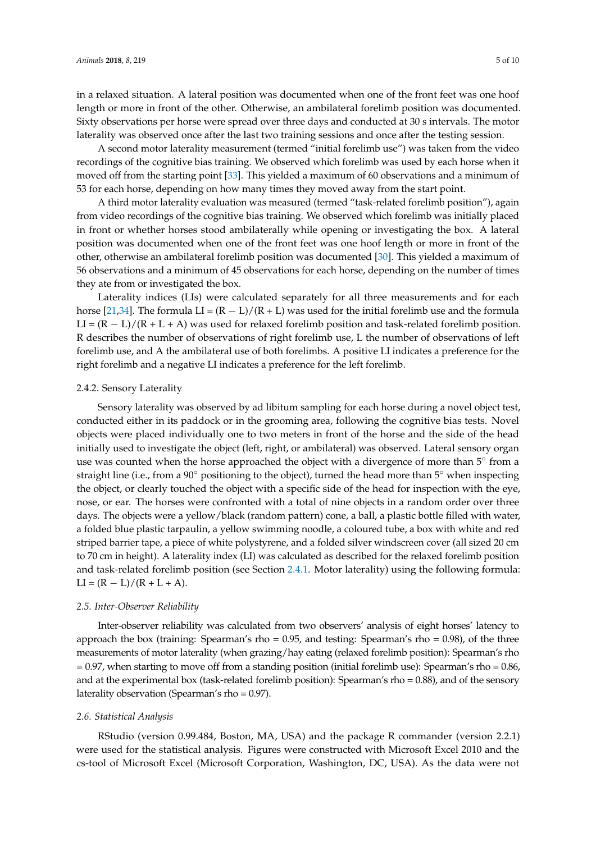A second motor laterality measurement (termed "initial forelimb use") was taken from the video recordings of the cognitive bias training. We observed which forelimb was used by each horse when it moved off from the starting point [\[33\]](#page-9-17). This yielded a maximum of 60 observations and a minimum of 53 for each horse, depending on how many times they moved away from the start point.

A third motor laterality evaluation was measured (termed "task-related forelimb position"), again from video recordings of the cognitive bias training. We observed which forelimb was initially placed in front or whether horses stood ambilaterally while opening or investigating the box. A lateral position was documented when one of the front feet was one hoof length or more in front of the other, otherwise an ambilateral forelimb position was documented [\[30\]](#page-9-12). This yielded a maximum of 56 observations and a minimum of 45 observations for each horse, depending on the number of times they ate from or investigated the box.

Laterality indices (LIs) were calculated separately for all three measurements and for each horse [\[21](#page-9-16)[,34\]](#page-9-18). The formula LI =  $(R - L)/(R + L)$  was used for the initial forelimb use and the formula  $LI = (R - L)/(R + L + A)$  was used for relaxed forelimb position and task-related forelimb position. R describes the number of observations of right forelimb use, L the number of observations of left forelimb use, and A the ambilateral use of both forelimbs. A positive LI indicates a preference for the right forelimb and a negative LI indicates a preference for the left forelimb.

### 2.4.2. Sensory Laterality

Sensory laterality was observed by ad libitum sampling for each horse during a novel object test, conducted either in its paddock or in the grooming area, following the cognitive bias tests. Novel objects were placed individually one to two meters in front of the horse and the side of the head initially used to investigate the object (left, right, or ambilateral) was observed. Lateral sensory organ use was counted when the horse approached the object with a divergence of more than  $5^{\circ}$  from a straight line (i.e., from a  $90^\circ$  positioning to the object), turned the head more than  $5^\circ$  when inspecting the object, or clearly touched the object with a specific side of the head for inspection with the eye, nose, or ear. The horses were confronted with a total of nine objects in a random order over three days. The objects were a yellow/black (random pattern) cone, a ball, a plastic bottle filled with water, a folded blue plastic tarpaulin, a yellow swimming noodle, a coloured tube, a box with white and red striped barrier tape, a piece of white polystyrene, and a folded silver windscreen cover (all sized 20 cm to 70 cm in height). A laterality index (LI) was calculated as described for the relaxed forelimb position and task-related forelimb position (see Section [2.4.1.](#page-3-0) Motor laterality) using the following formula:  $LI = (R - L)/(R + L + A).$ 

### *2.5. Inter-Observer Reliability*

Inter-observer reliability was calculated from two observers' analysis of eight horses' latency to approach the box (training: Spearman's rho = 0.95, and testing: Spearman's rho = 0.98), of the three measurements of motor laterality (when grazing/hay eating (relaxed forelimb position): Spearman's rho = 0.97, when starting to move off from a standing position (initial forelimb use): Spearman's rho = 0.86, and at the experimental box (task-related forelimb position): Spearman's rho = 0.88), and of the sensory laterality observation (Spearman's rho = 0.97).

#### *2.6. Statistical Analysis*

RStudio (version 0.99.484, Boston, MA, USA) and the package R commander (version 2.2.1) were used for the statistical analysis. Figures were constructed with Microsoft Excel 2010 and the cs-tool of Microsoft Excel (Microsoft Corporation, Washington, DC, USA). As the data were not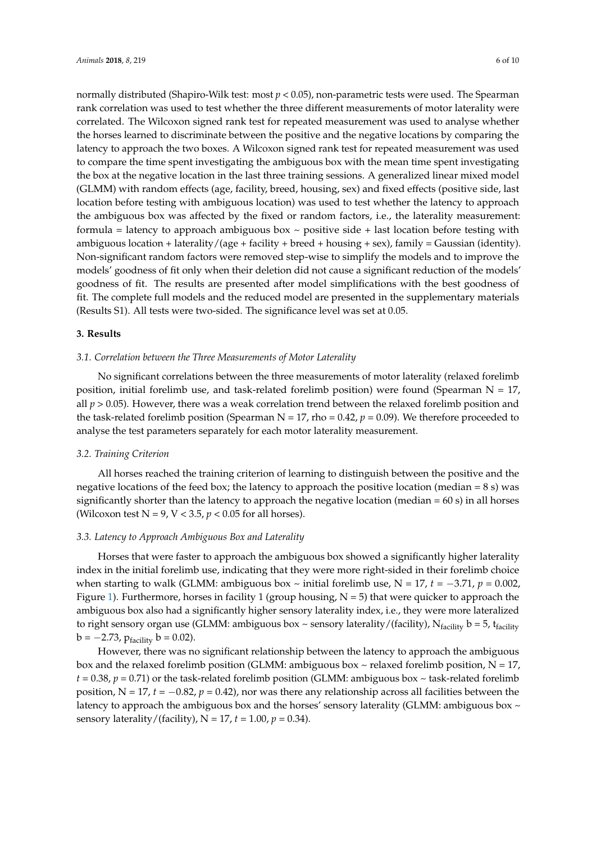normally distributed (Shapiro-Wilk test: most *p* < 0.05), non-parametric tests were used. The Spearman rank correlation was used to test whether the three different measurements of motor laterality were correlated. The Wilcoxon signed rank test for repeated measurement was used to analyse whether the horses learned to discriminate between the positive and the negative locations by comparing the latency to approach the two boxes. A Wilcoxon signed rank test for repeated measurement was used to compare the time spent investigating the ambiguous box with the mean time spent investigating the box at the negative location in the last three training sessions. A generalized linear mixed model (GLMM) with random effects (age, facility, breed, housing, sex) and fixed effects (positive side, last location before testing with ambiguous location) was used to test whether the latency to approach the ambiguous box was affected by the fixed or random factors, i.e., the laterality measurement: formula = latency to approach ambiguous box  $\sim$  positive side + last location before testing with ambiguous location + laterality/(age + facility + breed + housing + sex), family = Gaussian (identity). Non-significant random factors were removed step-wise to simplify the models and to improve the models' goodness of fit only when their deletion did not cause a significant reduction of the models' goodness of fit. The results are presented after model simplifications with the best goodness of fit. The complete full models and the reduced model are presented in the supplementary materials (Results S1). All tests were two-sided. The significance level was set at 0.05.

# **3. Results**

#### *3.1. Correlation between the Three Measurements of Motor Laterality*

No significant correlations between the three measurements of motor laterality (relaxed forelimb position, initial forelimb use, and task-related forelimb position) were found (Spearman  $N = 17$ , all  $p > 0.05$ ). However, there was a weak correlation trend between the relaxed forelimb position and the task-related forelimb position (Spearman  $N = 17$ , rho = 0.42,  $p = 0.09$ ). We therefore proceeded to analyse the test parameters separately for each motor laterality measurement.

#### *3.2. Training Criterion*

All horses reached the training criterion of learning to distinguish between the positive and the negative locations of the feed box; the latency to approach the positive location (median = 8 s) was significantly shorter than the latency to approach the negative location (median  $= 60$  s) in all horses (Wilcoxon test  $N = 9$ ,  $V < 3.5$ ,  $p < 0.05$  for all horses).

#### *3.3. Latency to Approach Ambiguous Box and Laterality*

Horses that were faster to approach the ambiguous box showed a significantly higher laterality index in the initial forelimb use, indicating that they were more right-sided in their forelimb choice when starting to walk (GLMM: ambiguous box ~ initial forelimb use,  $N = 17$ ,  $t = -3.71$ ,  $p = 0.002$ , Figure [1\)](#page-6-0). Furthermore, horses in facility 1 (group housing,  $N = 5$ ) that were quicker to approach the ambiguous box also had a significantly higher sensory laterality index, i.e., they were more lateralized to right sensory organ use (GLMM: ambiguous box  $\sim$  sensory laterality/(facility), N<sub>facility</sub> b = 5, t<sub>facility</sub>  $b = -2.73$ ,  $p_{\text{facility}}$   $b = 0.02$ ).

However, there was no significant relationship between the latency to approach the ambiguous box and the relaxed forelimb position (GLMM: ambiguous box  $\sim$  relaxed forelimb position, N = 17,  $t = 0.38$ ,  $p = 0.71$ ) or the task-related forelimb position (GLMM: ambiguous box  $\sim$  task-related forelimb position,  $N = 17$ ,  $t = -0.82$ ,  $p = 0.42$ ), nor was there any relationship across all facilities between the latency to approach the ambiguous box and the horses' sensory laterality (GLMM: ambiguous box  $\sim$ sensory laterality/(facility),  $N = 17$ ,  $t = 1.00$ ,  $p = 0.34$ ).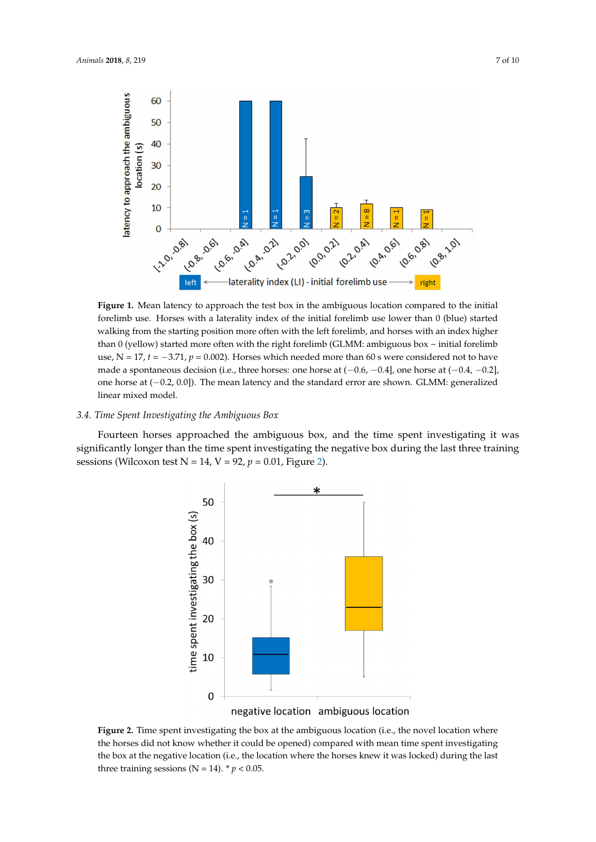<span id="page-6-0"></span>

Figure 1. Mean latency to approach the test box in the ambiguous location compared to the initial forelimb use. Horses with a laterality index of the initial forelimb use lower than 0 (blue) started walking from the starting position more often with the left forelimb, and horses with an index higher than 0 (yellow) started more often with the right forelimb (GLMM: ambiguous box ~ initial forelimb use,  $N = 17$ ,  $t = -3.71$ ,  $p = 0.002$ ). Horses which needed more than 60 s were considered not to have made a spontaneous decision (i.e., three horses: one horse at  $(-0.6, -0.4]$ , one horse at  $(-0.4, -0.2]$ , one horse at (−0.2, 0.0]). The mean latency and the standard error are shown. GLMM: generalized linear mixed model.

# *3.4. Time Spent Investigating the Ambiguous Box 3.4. Time Spent Investigating the Ambiguous Box 3.4. Time Spent Investigating the Ambiguous Box*

<span id="page-6-1"></span>significantly longer than the time spent investigating the negative box during the last three training significantly longer than the time spent investigating the negative box during the last three training sessions (Wilcoxon test *N* = 14, V = 92, *p* = 0.01, Figure 2). sessions (Wilcoxon test N = 14, V = 92, *p* = 0.01, Figure [2\)](#page-6-1). Fourteen horses approached the ambiguous box, and the time spent investigating it was Fourteen horses approached the ambiguous box, and the time spent investigating it was Fourteen norses approached the ambiguous box, and the time spent investigating it was



the horses did not know whether it could be opened) compared with mean time spent investigating the box at the negative location (i.e., the location where the horses knew it was locked) during the last three training sessions ( $N = 14$ ). \* *p* < 0.05. **Figure 2.** Time spent investigating the box at the ambiguous location (i.e., the novel location where **Figure 2.** Time spent investigating the box at the ambiguous location (i.e., the novel location where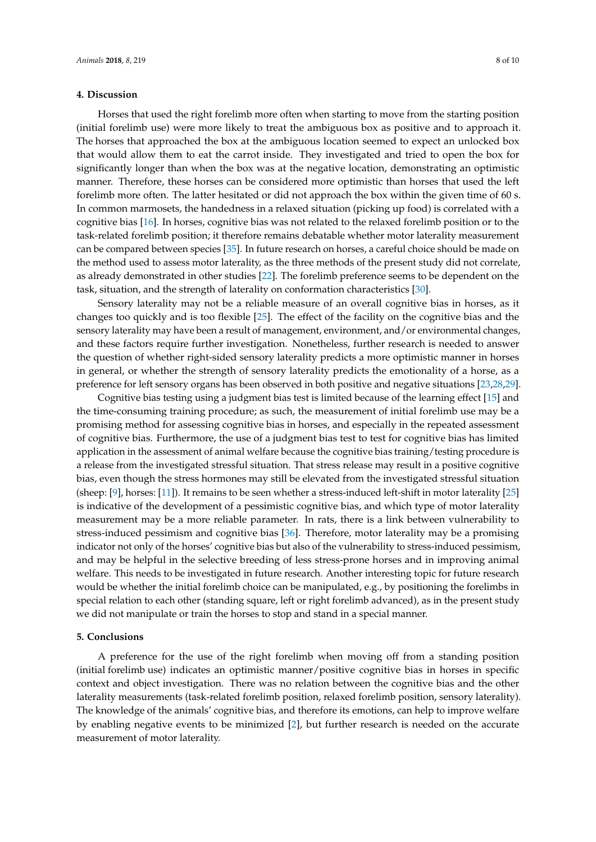# **4. Discussion**

Horses that used the right forelimb more often when starting to move from the starting position (initial forelimb use) were more likely to treat the ambiguous box as positive and to approach it. The horses that approached the box at the ambiguous location seemed to expect an unlocked box that would allow them to eat the carrot inside. They investigated and tried to open the box for significantly longer than when the box was at the negative location, demonstrating an optimistic manner. Therefore, these horses can be considered more optimistic than horses that used the left forelimb more often. The latter hesitated or did not approach the box within the given time of 60 s. In common marmosets, the handedness in a relaxed situation (picking up food) is correlated with a cognitive bias [\[16\]](#page-9-1). In horses, cognitive bias was not related to the relaxed forelimb position or to the task-related forelimb position; it therefore remains debatable whether motor laterality measurement can be compared between species [\[35\]](#page-9-19). In future research on horses, a careful choice should be made on the method used to assess motor laterality, as the three methods of the present study did not correlate, as already demonstrated in other studies [\[22\]](#page-9-13). The forelimb preference seems to be dependent on the task, situation, and the strength of laterality on conformation characteristics [\[30\]](#page-9-12).

Sensory laterality may not be a reliable measure of an overall cognitive bias in horses, as it changes too quickly and is too flexible [\[25\]](#page-9-6). The effect of the facility on the cognitive bias and the sensory laterality may have been a result of management, environment, and/or environmental changes, and these factors require further investigation. Nonetheless, further research is needed to answer the question of whether right-sided sensory laterality predicts a more optimistic manner in horses in general, or whether the strength of sensory laterality predicts the emotionality of a horse, as a preference for left sensory organs has been observed in both positive and negative situations [\[23](#page-9-4)[,28](#page-9-10)[,29\]](#page-9-11).

Cognitive bias testing using a judgment bias test is limited because of the learning effect [\[15\]](#page-9-0) and the time-consuming training procedure; as such, the measurement of initial forelimb use may be a promising method for assessing cognitive bias in horses, and especially in the repeated assessment of cognitive bias. Furthermore, the use of a judgment bias test to test for cognitive bias has limited application in the assessment of animal welfare because the cognitive bias training/testing procedure is a release from the investigated stressful situation. That stress release may result in a positive cognitive bias, even though the stress hormones may still be elevated from the investigated stressful situation (sheep: [\[9\]](#page-8-8), horses: [\[11\]](#page-8-10)). It remains to be seen whether a stress-induced left-shift in motor laterality [\[25\]](#page-9-6) is indicative of the development of a pessimistic cognitive bias, and which type of motor laterality measurement may be a more reliable parameter. In rats, there is a link between vulnerability to stress-induced pessimism and cognitive bias [\[36\]](#page-9-20). Therefore, motor laterality may be a promising indicator not only of the horses' cognitive bias but also of the vulnerability to stress-induced pessimism, and may be helpful in the selective breeding of less stress-prone horses and in improving animal welfare. This needs to be investigated in future research. Another interesting topic for future research would be whether the initial forelimb choice can be manipulated, e.g., by positioning the forelimbs in special relation to each other (standing square, left or right forelimb advanced), as in the present study we did not manipulate or train the horses to stop and stand in a special manner.

#### **5. Conclusions**

A preference for the use of the right forelimb when moving off from a standing position (initial forelimb use) indicates an optimistic manner/positive cognitive bias in horses in specific context and object investigation. There was no relation between the cognitive bias and the other laterality measurements (task-related forelimb position, relaxed forelimb position, sensory laterality). The knowledge of the animals' cognitive bias, and therefore its emotions, can help to improve welfare by enabling negative events to be minimized [\[2\]](#page-8-1), but further research is needed on the accurate measurement of motor laterality.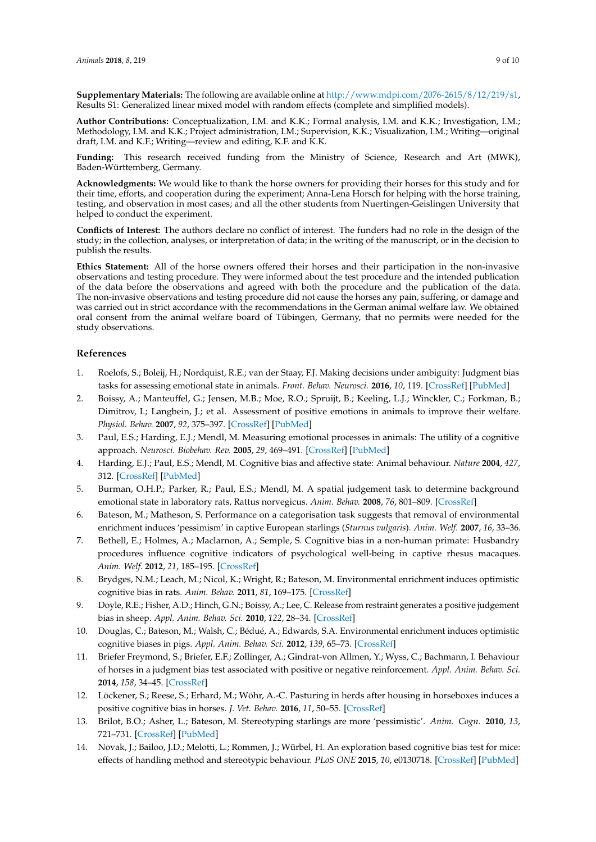**Supplementary Materials:** The following are available online at [http://www.mdpi.com/2076-2615/8/12/219/s1,](http://www.mdpi.com/2076-2615/8/12/219/s1) Results S1: Generalized linear mixed model with random effects (complete and simplified models).

**Author Contributions:** Conceptualization, I.M. and K.K.; Formal analysis, I.M. and K.K.; Investigation, I.M.; Methodology, I.M. and K.K.; Project administration, I.M.; Supervision, K.K.; Visualization, I.M.; Writing—original draft, I.M. and K.F.; Writing—review and editing, K.F. and K.K.

**Funding:** This research received funding from the Ministry of Science, Research and Art (MWK), Baden-Württemberg, Germany.

**Acknowledgments:** We would like to thank the horse owners for providing their horses for this study and for their time, efforts, and cooperation during the experiment; Anna-Lena Horsch for helping with the horse training, testing, and observation in most cases; and all the other students from Nuertingen-Geislingen University that helped to conduct the experiment.

**Conflicts of Interest:** The authors declare no conflict of interest. The funders had no role in the design of the study; in the collection, analyses, or interpretation of data; in the writing of the manuscript, or in the decision to publish the results.

**Ethics Statement:** All of the horse owners offered their horses and their participation in the non-invasive observations and testing procedure. They were informed about the test procedure and the intended publication of the data before the observations and agreed with both the procedure and the publication of the data. The non-invasive observations and testing procedure did not cause the horses any pain, suffering, or damage and was carried out in strict accordance with the recommendations in the German animal welfare law. We obtained oral consent from the animal welfare board of Tübingen, Germany, that no permits were needed for the study observations.

# **References**

- <span id="page-8-0"></span>1. Roelofs, S.; Boleij, H.; Nordquist, R.E.; van der Staay, F.J. Making decisions under ambiguity: Judgment bias tasks for assessing emotional state in animals. *Front. Behav. Neurosci.* **2016**, *10*, 119. [\[CrossRef\]](http://dx.doi.org/10.3389/fnbeh.2016.00119) [\[PubMed\]](http://www.ncbi.nlm.nih.gov/pubmed/27375454)
- <span id="page-8-1"></span>2. Boissy, A.; Manteuffel, G.; Jensen, M.B.; Moe, R.O.; Spruijt, B.; Keeling, L.J.; Winckler, C.; Forkman, B.; Dimitrov, I.; Langbein, J.; et al. Assessment of positive emotions in animals to improve their welfare. *Physiol. Behav.* **2007**, *92*, 375–397. [\[CrossRef\]](http://dx.doi.org/10.1016/j.physbeh.2007.02.003) [\[PubMed\]](http://www.ncbi.nlm.nih.gov/pubmed/17428510)
- <span id="page-8-2"></span>3. Paul, E.S.; Harding, E.J.; Mendl, M. Measuring emotional processes in animals: The utility of a cognitive approach. *Neurosci. Biobehav. Rev.* **2005**, *29*, 469–491. [\[CrossRef\]](http://dx.doi.org/10.1016/j.neubiorev.2005.01.002) [\[PubMed\]](http://www.ncbi.nlm.nih.gov/pubmed/15820551)
- <span id="page-8-3"></span>4. Harding, E.J.; Paul, E.S.; Mendl, M. Cognitive bias and affective state: Animal behaviour. *Nature* **2004**, *427*, 312. [\[CrossRef\]](http://dx.doi.org/10.1038/427312a) [\[PubMed\]](http://www.ncbi.nlm.nih.gov/pubmed/14737158)
- <span id="page-8-4"></span>5. Burman, O.H.P.; Parker, R.; Paul, E.S.; Mendl, M. A spatial judgement task to determine background emotional state in laboratory rats, Rattus norvegicus. *Anim. Behav.* **2008**, *76*, 801–809. [\[CrossRef\]](http://dx.doi.org/10.1016/j.anbehav.2008.02.014)
- <span id="page-8-5"></span>6. Bateson, M.; Matheson, S. Performance on a categorisation task suggests that removal of environmental enrichment induces 'pessimism' in captive European starlings (*Sturnus vulgaris*). *Anim. Welf.* **2007**, *16*, 33–36.
- <span id="page-8-6"></span>7. Bethell, E.; Holmes, A.; Maclarnon, A.; Semple, S. Cognitive bias in a non-human primate: Husbandry procedures influence cognitive indicators of psychological well-being in captive rhesus macaques. *Anim. Welf.* **2012**, *21*, 185–195. [\[CrossRef\]](http://dx.doi.org/10.7120/09627286.21.2.185)
- <span id="page-8-7"></span>8. Brydges, N.M.; Leach, M.; Nicol, K.; Wright, R.; Bateson, M. Environmental enrichment induces optimistic cognitive bias in rats. *Anim. Behav.* **2011**, *81*, 169–175. [\[CrossRef\]](http://dx.doi.org/10.1016/j.anbehav.2010.09.030)
- <span id="page-8-8"></span>9. Doyle, R.E.; Fisher, A.D.; Hinch, G.N.; Boissy, A.; Lee, C. Release from restraint generates a positive judgement bias in sheep. *Appl. Anim. Behav. Sci.* **2010**, *122*, 28–34. [\[CrossRef\]](http://dx.doi.org/10.1016/j.applanim.2009.11.003)
- <span id="page-8-9"></span>10. Douglas, C.; Bateson, M.; Walsh, C.; Bédué, A.; Edwards, S.A. Environmental enrichment induces optimistic cognitive biases in pigs. *Appl. Anim. Behav. Sci.* **2012**, *139*, 65–73. [\[CrossRef\]](http://dx.doi.org/10.1016/j.applanim.2012.02.018)
- <span id="page-8-10"></span>11. Briefer Freymond, S.; Briefer, E.F.; Zollinger, A.; Gindrat-von Allmen, Y.; Wyss, C.; Bachmann, I. Behaviour of horses in a judgment bias test associated with positive or negative reinforcement. *Appl. Anim. Behav. Sci.* **2014**, *158*, 34–45. [\[CrossRef\]](http://dx.doi.org/10.1016/j.applanim.2014.06.006)
- <span id="page-8-11"></span>12. Löckener, S.; Reese, S.; Erhard, M.; Wöhr, A.-C. Pasturing in herds after housing in horseboxes induces a positive cognitive bias in horses. *J. Vet. Behav.* **2016**, *11*, 50–55. [\[CrossRef\]](http://dx.doi.org/10.1016/j.jveb.2015.11.005)
- <span id="page-8-12"></span>13. Brilot, B.O.; Asher, L.; Bateson, M. Stereotyping starlings are more 'pessimistic'. *Anim. Cogn.* **2010**, *13*, 721–731. [\[CrossRef\]](http://dx.doi.org/10.1007/s10071-010-0323-z) [\[PubMed\]](http://www.ncbi.nlm.nih.gov/pubmed/20464439)
- <span id="page-8-13"></span>14. Novak, J.; Bailoo, J.D.; Melotti, L.; Rommen, J.; Würbel, H. An exploration based cognitive bias test for mice: effects of handling method and stereotypic behaviour. *PLoS ONE* **2015**, *10*, e0130718. [\[CrossRef\]](http://dx.doi.org/10.1371/journal.pone.0130718) [\[PubMed\]](http://www.ncbi.nlm.nih.gov/pubmed/26154309)